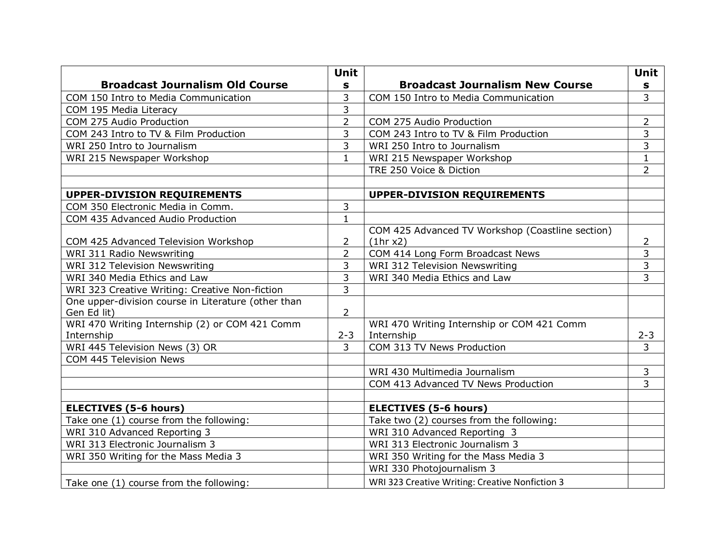|                                                     | <b>Unit</b>    |                                                  | Unit           |
|-----------------------------------------------------|----------------|--------------------------------------------------|----------------|
| <b>Broadcast Journalism Old Course</b>              | S              | <b>Broadcast Journalism New Course</b>           | $\mathbf S$    |
| COM 150 Intro to Media Communication                | 3              | COM 150 Intro to Media Communication             | $\overline{3}$ |
| COM 195 Media Literacy                              | 3              |                                                  |                |
| COM 275 Audio Production                            | $\overline{2}$ | COM 275 Audio Production                         | $\overline{2}$ |
| COM 243 Intro to TV & Film Production               | 3              | COM 243 Intro to TV & Film Production            | 3              |
| WRI 250 Intro to Journalism                         | 3              | WRI 250 Intro to Journalism                      | 3              |
| WRI 215 Newspaper Workshop                          | $\mathbf{1}$   | WRI 215 Newspaper Workshop                       | $\mathbf{1}$   |
|                                                     |                | TRE 250 Voice & Diction                          | $\overline{2}$ |
|                                                     |                |                                                  |                |
| <b>UPPER-DIVISION REQUIREMENTS</b>                  |                | <b>UPPER-DIVISION REQUIREMENTS</b>               |                |
| COM 350 Electronic Media in Comm.                   | 3              |                                                  |                |
| COM 435 Advanced Audio Production                   | $\mathbf{1}$   |                                                  |                |
|                                                     |                | COM 425 Advanced TV Workshop (Coastline section) |                |
| COM 425 Advanced Television Workshop                | 2              | (1hrx2)                                          | 2              |
| WRI 311 Radio Newswriting                           | 2              | COM 414 Long Form Broadcast News                 | 3              |
| <b>WRI 312 Television Newswriting</b>               | 3              | WRI 312 Television Newswriting                   | 3              |
| WRI 340 Media Ethics and Law                        | 3              | WRI 340 Media Ethics and Law                     | $\overline{3}$ |
| WRI 323 Creative Writing: Creative Non-fiction      | $\overline{3}$ |                                                  |                |
| One upper-division course in Literature (other than |                |                                                  |                |
| Gen Ed lit)                                         | $\overline{2}$ |                                                  |                |
| WRI 470 Writing Internship (2) or COM 421 Comm      |                | WRI 470 Writing Internship or COM 421 Comm       |                |
| Internship                                          | $2 - 3$        | Internship                                       | $2 - 3$        |
| WRI 445 Television News (3) OR                      | 3              | COM 313 TV News Production                       | 3              |
| COM 445 Television News                             |                |                                                  |                |
|                                                     |                | WRI 430 Multimedia Journalism                    | 3              |
|                                                     |                | COM 413 Advanced TV News Production              | $\overline{3}$ |
|                                                     |                |                                                  |                |
| <b>ELECTIVES (5-6 hours)</b>                        |                | <b>ELECTIVES (5-6 hours)</b>                     |                |
| Take one (1) course from the following:             |                | Take two (2) courses from the following:         |                |
| WRI 310 Advanced Reporting 3                        |                | WRI 310 Advanced Reporting 3                     |                |
| WRI 313 Electronic Journalism 3                     |                | WRI 313 Electronic Journalism 3                  |                |
| WRI 350 Writing for the Mass Media 3                |                | WRI 350 Writing for the Mass Media 3             |                |
|                                                     |                | WRI 330 Photojournalism 3                        |                |
| Take one (1) course from the following:             |                | WRI 323 Creative Writing: Creative Nonfiction 3  |                |